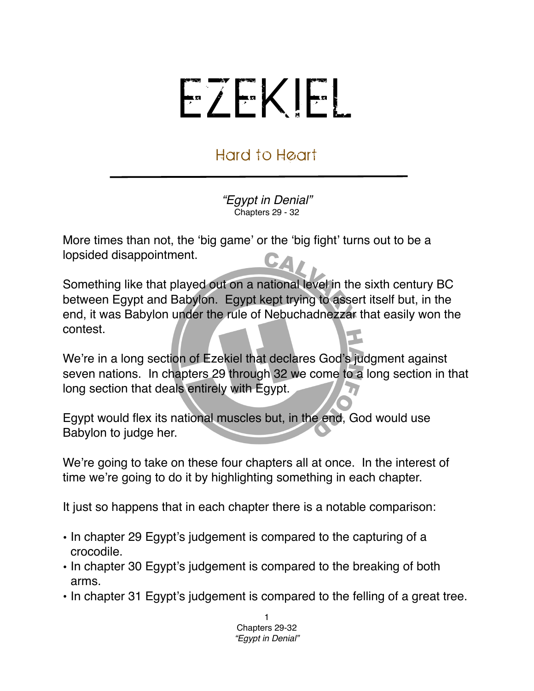## EZEKIEL

## Hard to Heart

*"Egypt in Denial"* Chapters 29 - 32

More times than not, the ʻbig game' or the ʻbig fight' turns out to be a lopsided disappointment. CA

Something like that played out on a national level in the sixth century BC between Egypt and Babylon. Egypt kept trying to assert itself but, in the end, it was Babylon under the rule of Nebuchadnezzar that easily won the contest.

We're in a long section of Ezekiel that declares God's judgment against seven nations. In chapters 29 through 32 we come to a long section in that long section that deals entirely with Egypt.

Egypt would flex its national muscles but, in the end, God would use Babylon to judge her.

We're going to take on these four chapters all at once. In the interest of time we're going to do it by highlighting something in each chapter.

It just so happens that in each chapter there is a notable comparison:

- In chapter 29 Egypt's judgement is compared to the capturing of a crocodile.
- In chapter 30 Egypt's judgement is compared to the breaking of both arms.
- In chapter 31 Egypt's judgement is compared to the felling of a great tree.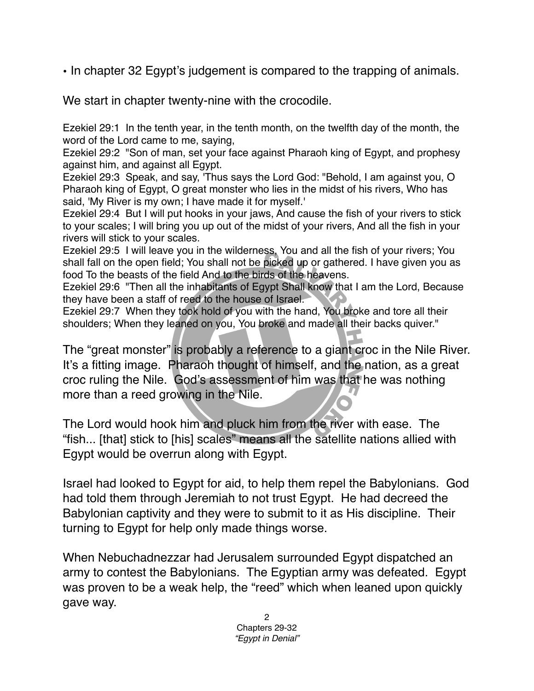• In chapter 32 Egypt's judgement is compared to the trapping of animals.

We start in chapter twenty-nine with the crocodile.

Ezekiel 29:1 In the tenth year, in the tenth month, on the twelfth day of the month, the word of the Lord came to me, saying,

Ezekiel 29:2 "Son of man, set your face against Pharaoh king of Egypt, and prophesy against him, and against all Egypt.

Ezekiel 29:3 Speak, and say, 'Thus says the Lord God: "Behold, I am against you, O Pharaoh king of Egypt, O great monster who lies in the midst of his rivers, Who has said, 'My River is my own; I have made it for myself.'

Ezekiel 29:4 But I will put hooks in your jaws, And cause the fish of your rivers to stick to your scales; I will bring you up out of the midst of your rivers, And all the fish in your rivers will stick to your scales.

Ezekiel 29:5 I will leave you in the wilderness, You and all the fish of your rivers; You shall fall on the open field; You shall not be picked up or gathered. I have given you as food To the beasts of the field And to the birds of the heavens.

Ezekiel 29:6 "Then all the inhabitants of Egypt Shall know that I am the Lord, Because they have been a staff of reed to the house of Israel.

Ezekiel 29:7 When they took hold of you with the hand, You broke and tore all their shoulders; When they leaned on you, You broke and made all their backs quiver."

The "great monster" is probably a reference to a giant croc in the Nile River. It's a fitting image. Pharaoh thought of himself, and the nation, as a great croc ruling the Nile. God's assessment of him was that he was nothing more than a reed growing in the Nile.

The Lord would hook him and pluck him from the river with ease. The "fish... [that] stick to [his] scales" means all the satellite nations allied with Egypt would be overrun along with Egypt.

Israel had looked to Egypt for aid, to help them repel the Babylonians. God had told them through Jeremiah to not trust Egypt. He had decreed the Babylonian captivity and they were to submit to it as His discipline. Their turning to Egypt for help only made things worse.

When Nebuchadnezzar had Jerusalem surrounded Egypt dispatched an army to contest the Babylonians. The Egyptian army was defeated. Egypt was proven to be a weak help, the "reed" which when leaned upon quickly gave way.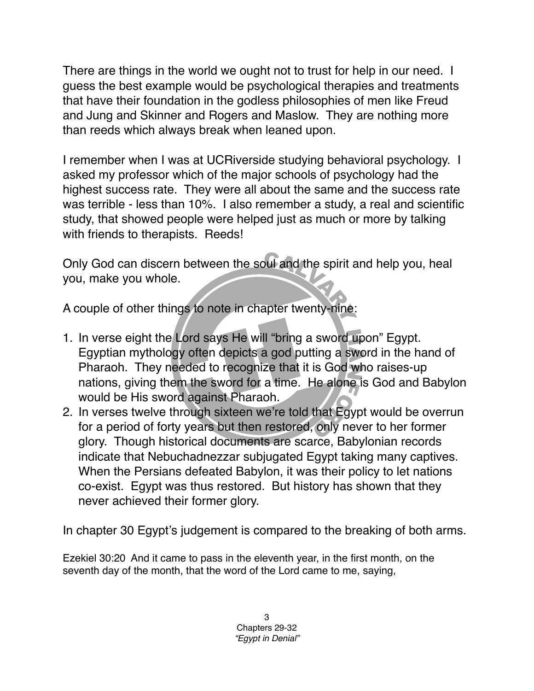There are things in the world we ought not to trust for help in our need. I guess the best example would be psychological therapies and treatments that have their foundation in the godless philosophies of men like Freud and Jung and Skinner and Rogers and Maslow. They are nothing more than reeds which always break when leaned upon.

I remember when I was at UCRiverside studying behavioral psychology. I asked my professor which of the major schools of psychology had the highest success rate. They were all about the same and the success rate was terrible - less than 10%. I also remember a study, a real and scientific study, that showed people were helped just as much or more by talking with friends to therapists. Reeds!

Only God can discern between the soul and the spirit and help you, heal you, make you whole.

A couple of other things to note in chapter twenty-nine:

- 1. In verse eight the Lord says He will "bring a sword upon" Egypt. Egyptian mythology often depicts a god putting a sword in the hand of Pharaoh. They needed to recognize that it is God who raises-up nations, giving them the sword for a time. He alone is God and Babylon would be His sword against Pharaoh.
- 2. In verses twelve through sixteen we're told that Egypt would be overrun for a period of forty years but then restored, only never to her former glory. Though historical documents are scarce, Babylonian records indicate that Nebuchadnezzar subjugated Egypt taking many captives. When the Persians defeated Babylon, it was their policy to let nations co-exist. Egypt was thus restored. But history has shown that they never achieved their former glory.

In chapter 30 Egypt's judgement is compared to the breaking of both arms.

Ezekiel 30:20 And it came to pass in the eleventh year, in the first month, on the seventh day of the month, that the word of the Lord came to me, saying,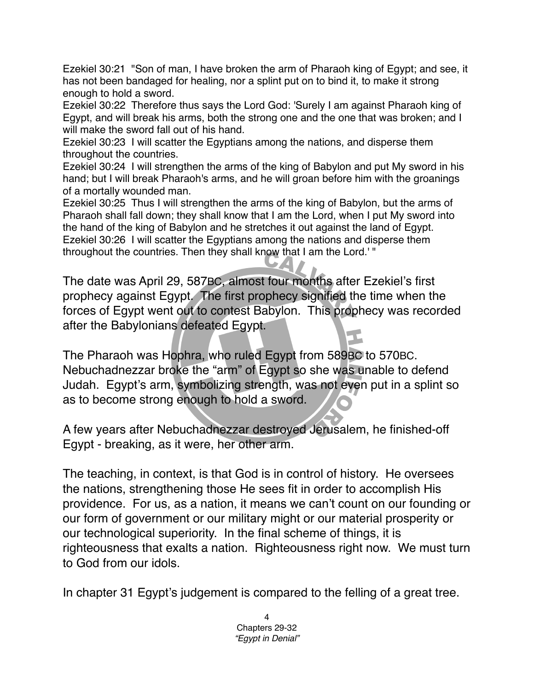Ezekiel 30:21 "Son of man, I have broken the arm of Pharaoh king of Egypt; and see, it has not been bandaged for healing, nor a splint put on to bind it, to make it strong enough to hold a sword.

Ezekiel 30:22 Therefore thus says the Lord God: 'Surely I am against Pharaoh king of Egypt, and will break his arms, both the strong one and the one that was broken; and I will make the sword fall out of his hand.

Ezekiel 30:23 I will scatter the Egyptians among the nations, and disperse them throughout the countries.

Ezekiel 30:24 I will strengthen the arms of the king of Babylon and put My sword in his hand; but I will break Pharaoh's arms, and he will groan before him with the groanings of a mortally wounded man.

Ezekiel 30:25 Thus I will strengthen the arms of the king of Babylon, but the arms of Pharaoh shall fall down; they shall know that I am the Lord, when I put My sword into the hand of the king of Babylon and he stretches it out against the land of Egypt. Ezekiel 30:26 I will scatter the Egyptians among the nations and disperse them throughout the countries. Then they shall know that I am the Lord.' "

The date was April 29, 587BC, almost four months after Ezekiel's first prophecy against Egypt. The first prophecy signified the time when the forces of Egypt went out to contest Babylon. This prophecy was recorded after the Babylonians defeated Egypt.

The Pharaoh was Hophra, who ruled Egypt from 589BC to 570BC. Nebuchadnezzar broke the "arm" of Egypt so she was unable to defend Judah. Egypt's arm, symbolizing strength, was not even put in a splint so as to become strong enough to hold a sword.

A few years after Nebuchadnezzar destroyed Jerusalem, he finished-off Egypt - breaking, as it were, her other arm.

The teaching, in context, is that God is in control of history. He oversees the nations, strengthening those He sees fit in order to accomplish His providence. For us, as a nation, it means we can't count on our founding or our form of government or our military might or our material prosperity or our technological superiority. In the final scheme of things, it is righteousness that exalts a nation. Righteousness right now. We must turn to God from our idols.

In chapter 31 Egypt's judgement is compared to the felling of a great tree.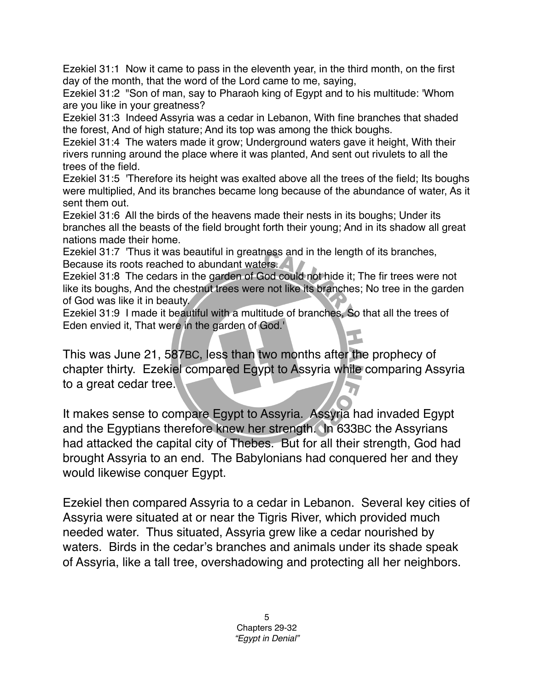Ezekiel 31:1 Now it came to pass in the eleventh year, in the third month, on the first day of the month, that the word of the Lord came to me, saying,

Ezekiel 31:2 "Son of man, say to Pharaoh king of Egypt and to his multitude: 'Whom are you like in your greatness?

Ezekiel 31:3 Indeed Assyria was a cedar in Lebanon, With fine branches that shaded the forest, And of high stature; And its top was among the thick boughs.

Ezekiel 31:4 The waters made it grow; Underground waters gave it height, With their rivers running around the place where it was planted, And sent out rivulets to all the trees of the field.

Ezekiel 31:5 'Therefore its height was exalted above all the trees of the field; Its boughs were multiplied, And its branches became long because of the abundance of water, As it sent them out.

Ezekiel 31:6 All the birds of the heavens made their nests in its boughs; Under its branches all the beasts of the field brought forth their young; And in its shadow all great nations made their home.

Ezekiel 31:7 'Thus it was beautiful in greatness and in the length of its branches, Because its roots reached to abundant waters.

Ezekiel 31:8 The cedars in the garden of God could not hide it; The fir trees were not like its boughs, And the chestnut trees were not like its branches; No tree in the garden of God was like it in beauty.

Ezekiel 31:9 I made it beautiful with a multitude of branches, So that all the trees of Eden envied it, That were in the garden of God.'

This was June 21, 587BC, less than two months after the prophecy of chapter thirty. Ezekiel compared Egypt to Assyria while comparing Assyria to a great cedar tree.

It makes sense to compare Egypt to Assyria. Assyria had invaded Egypt and the Egyptians therefore knew her strength. In 633BC the Assyrians had attacked the capital city of Thebes. But for all their strength, God had brought Assyria to an end. The Babylonians had conquered her and they would likewise conquer Egypt.

Ezekiel then compared Assyria to a cedar in Lebanon. Several key cities of Assyria were situated at or near the Tigris River, which provided much needed water. Thus situated, Assyria grew like a cedar nourished by waters. Birds in the cedar's branches and animals under its shade speak of Assyria, like a tall tree, overshadowing and protecting all her neighbors.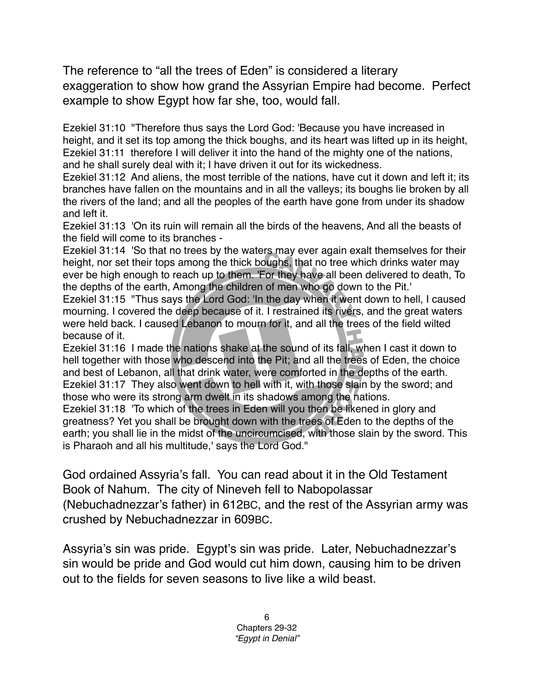The reference to "all the trees of Eden" is considered a literary exaggeration to show how grand the Assyrian Empire had become. Perfect example to show Egypt how far she, too, would fall.

Ezekiel 31:10 "Therefore thus says the Lord God: 'Because you have increased in height, and it set its top among the thick boughs, and its heart was lifted up in its height, Ezekiel 31:11 therefore I will deliver it into the hand of the mighty one of the nations, and he shall surely deal with it; I have driven it out for its wickedness.

Ezekiel 31:12 And aliens, the most terrible of the nations, have cut it down and left it; its branches have fallen on the mountains and in all the valleys; its boughs lie broken by all the rivers of the land; and all the peoples of the earth have gone from under its shadow and left it.

Ezekiel 31:13 'On its ruin will remain all the birds of the heavens, And all the beasts of the field will come to its branches -

Ezekiel 31:14 'So that no trees by the waters may ever again exalt themselves for their height, nor set their tops among the thick boughs, that no tree which drinks water may ever be high enough to reach up to them. 'For they have all been delivered to death, To the depths of the earth, Among the children of men who go down to the Pit.'

Ezekiel 31:15 "Thus says the Lord God: 'In the day when it went down to hell, I caused mourning. I covered the deep because of it. I restrained its rivers, and the great waters were held back. I caused Lebanon to mourn for it, and all the trees of the field wilted because of it.

Ezekiel 31:16 I made the nations shake at the sound of its fall, when I cast it down to hell together with those who descend into the Pit; and all the trees of Eden, the choice and best of Lebanon, all that drink water, were comforted in the depths of the earth. Ezekiel 31:17 They also went down to hell with it, with those slain by the sword; and those who were its strong arm dwelt in its shadows among the nations.

Ezekiel 31:18 'To which of the trees in Eden will you then be likened in glory and greatness? Yet you shall be brought down with the trees of Eden to the depths of the earth; you shall lie in the midst of the uncircumcised, with those slain by the sword. This is Pharaoh and all his multitude,' says the Lord God."

God ordained Assyria's fall. You can read about it in the Old Testament Book of Nahum. The city of Nineveh fell to Nabopolassar (Nebuchadnezzar's father) in 612BC, and the rest of the Assyrian army was crushed by Nebuchadnezzar in 609BC.

Assyria's sin was pride. Egypt's sin was pride. Later, Nebuchadnezzar's sin would be pride and God would cut him down, causing him to be driven out to the fields for seven seasons to live like a wild beast.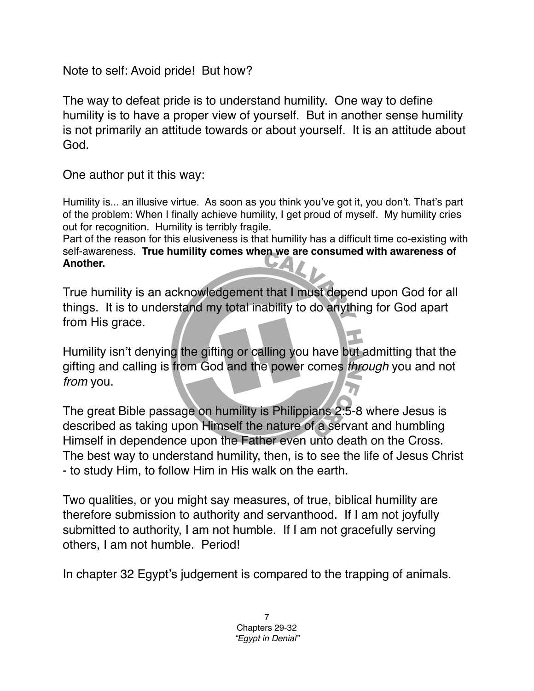Note to self: Avoid pride! But how?

The way to defeat pride is to understand humility. One way to define humility is to have a proper view of yourself. But in another sense humility is not primarily an attitude towards or about yourself. It is an attitude about God.

One author put it this way:

Humility is... an illusive virtue. As soon as you think you've got it, you don't. That's part of the problem: When I finally achieve humility, I get proud of myself. My humility cries out for recognition. Humility is terribly fragile.

Part of the reason for this elusiveness is that humility has a difficult time co-existing with self-awareness. **True humility comes when we are consumed with awareness of Another.**

True humility is an acknowledgement that I must depend upon God for all things. It is to understand my total inability to do anything for God apart from His grace.

Humility isn't denying the gifting or calling you have but admitting that the gifting and calling is from God and the power comes *through* you and not *from* you.

The great Bible passage on humility is Philippians 2:5-8 where Jesus is described as taking upon Himself the nature of a servant and humbling Himself in dependence upon the Father even unto death on the Cross. The best way to understand humility, then, is to see the life of Jesus Christ - to study Him, to follow Him in His walk on the earth.

Two qualities, or you might say measures, of true, biblical humility are therefore submission to authority and servanthood. If I am not joyfully submitted to authority, I am not humble. If I am not gracefully serving others, I am not humble. Period!

In chapter 32 Egypt's judgement is compared to the trapping of animals.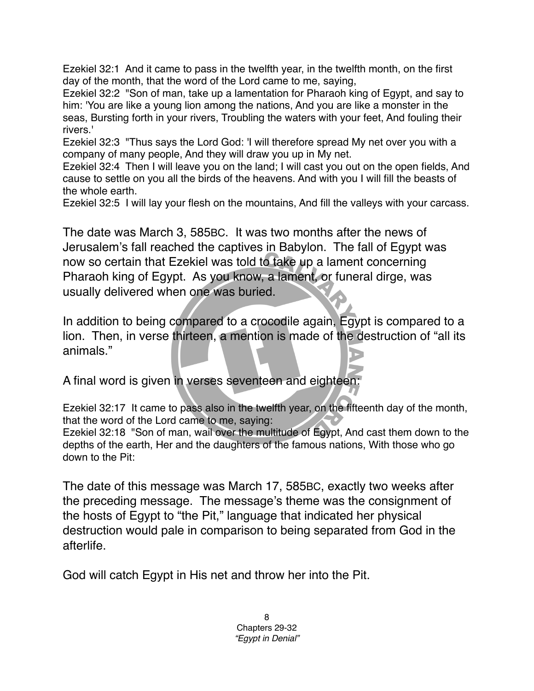Ezekiel 32:1 And it came to pass in the twelfth year, in the twelfth month, on the first day of the month, that the word of the Lord came to me, saying,

Ezekiel 32:2 "Son of man, take up a lamentation for Pharaoh king of Egypt, and say to him: 'You are like a young lion among the nations, And you are like a monster in the seas, Bursting forth in your rivers, Troubling the waters with your feet, And fouling their rivers.'

Ezekiel 32:3 "Thus says the Lord God: 'I will therefore spread My net over you with a company of many people, And they will draw you up in My net.

Ezekiel 32:4 Then I will leave you on the land; I will cast you out on the open fields, And cause to settle on you all the birds of the heavens. And with you I will fill the beasts of the whole earth.

Ezekiel 32:5 I will lay your flesh on the mountains, And fill the valleys with your carcass.

The date was March 3, 585BC. It was two months after the news of Jerusalem's fall reached the captives in Babylon. The fall of Egypt was now so certain that Ezekiel was told to take up a lament concerning Pharaoh king of Egypt. As you know, a lament, or funeral dirge, was usually delivered when one was buried.

In addition to being compared to a crocodile again, Egypt is compared to a lion. Then, in verse thirteen, a mention is made of the destruction of "all its animals."

A final word is given in verses seventeen and eighteen:

Ezekiel 32:17 It came to pass also in the twelfth year, on the fifteenth day of the month, that the word of the Lord came to me, saying:

Ezekiel 32:18 "Son of man, wail over the multitude of Egypt, And cast them down to the depths of the earth, Her and the daughters of the famous nations, With those who go down to the Pit:

The date of this message was March 17, 585BC, exactly two weeks after the preceding message. The message's theme was the consignment of the hosts of Egypt to "the Pit," language that indicated her physical destruction would pale in comparison to being separated from God in the afterlife.

God will catch Egypt in His net and throw her into the Pit.